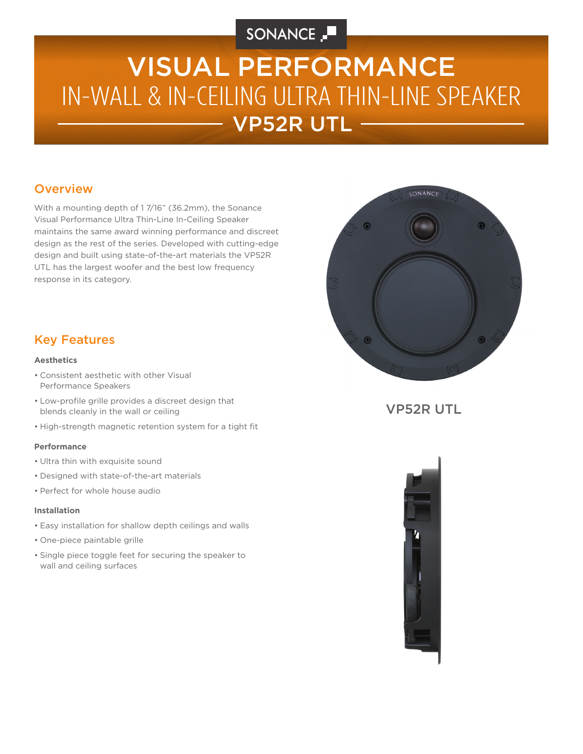## SONANCE

# VP52R UTL IN-WALL & IN-CEILING ULTRA THIN-LINE SPEAKER VISUAL PERFORMANCE

### **Overview**

With a mounting depth of 1 7/16" (36.2mm), the Sonance Visual Performance Ultra Thin-Line In-Ceiling Speaker maintains the same award winning performance and discreet design as the rest of the series. Developed with cutting-edge design and built using state-of-the-art materials the VP52R UTL has the largest woofer and the best low frequency response in its category.



## Key Features

### **Aesthetics**

- Consistent aesthetic with other Visual Performance Speakers
- Low-profile grille provides a discreet design that blends cleanly in the wall or ceiling
- High-strength magnetic retention system for a tight fit

### **Performance**

- Ultra thin with exquisite sound
- Designed with state-of-the-art materials
- Perfect for whole house audio

### **Installation**

- Easy installation for shallow depth ceilings and walls
- One-piece paintable grille
- Single piece toggle feet for securing the speaker to wall and ceiling surfaces

VP52R UTL